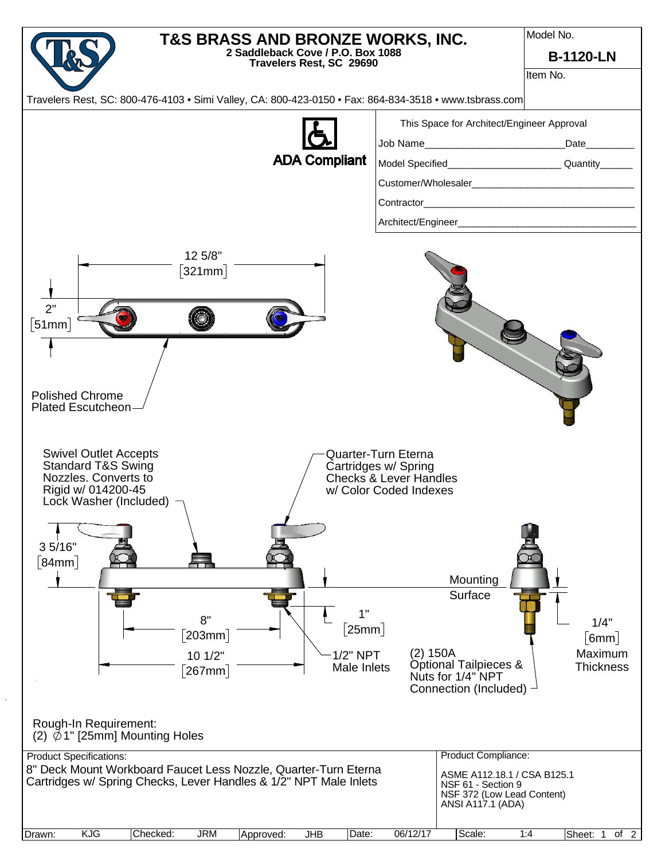